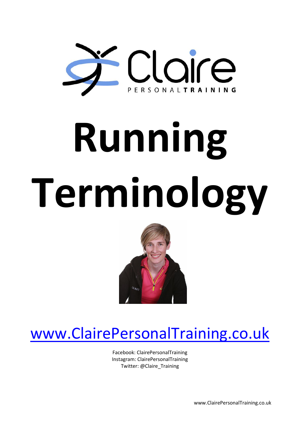

## **Running Terminology**



## [www.ClairePersonalTraining.co.uk](http://www.clairepersonaltraining.co.uk/)

Facebook: ClairePersonalTraining Instagram: ClairePersonalTraining Twitter: @Claire\_Training

www.ClairePersonalTraining.co.uk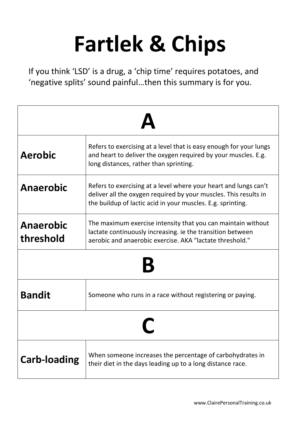## **Fartlek & Chips**

If you think 'LSD' is a drug, a 'chip time' requires potatoes, and 'negative splits' sound painful…then this summary is for you.

| <b>Aerobic</b>                | Refers to exercising at a level that is easy enough for your lungs<br>and heart to deliver the oxygen required by your muscles. E.g.<br>long distances, rather than sprinting.                      |
|-------------------------------|-----------------------------------------------------------------------------------------------------------------------------------------------------------------------------------------------------|
| <b>Anaerobic</b>              | Refers to exercising at a level where your heart and lungs can't<br>deliver all the oxygen required by your muscles. This results in<br>the buildup of lactic acid in your muscles. E.g. sprinting. |
| <b>Anaerobic</b><br>threshold | The maximum exercise intensity that you can maintain without<br>lactate continuously increasing. ie the transition between<br>aerobic and anaerobic exercise. AKA "lactate threshold."              |
|                               |                                                                                                                                                                                                     |
| <b>Bandit</b>                 | Someone who runs in a race without registering or paying.                                                                                                                                           |
|                               |                                                                                                                                                                                                     |
| <b>Carb-loading</b>           | When someone increases the percentage of carbohydrates in<br>their diet in the days leading up to a long distance race.                                                                             |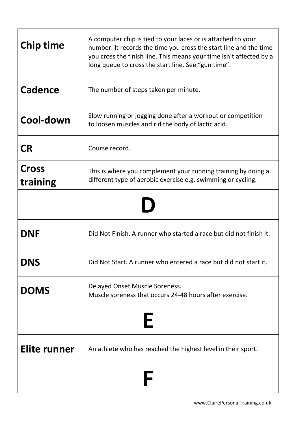| <b>Chip time</b>         | A computer chip is tied to your laces or is attached to your<br>number. It records the time you cross the start line and the time<br>you cross the finish line. This means your time isn't affected by a<br>long queue to cross the start line. See "gun time". |
|--------------------------|-----------------------------------------------------------------------------------------------------------------------------------------------------------------------------------------------------------------------------------------------------------------|
| <b>Cadence</b>           | The number of steps taken per minute.                                                                                                                                                                                                                           |
| Cool-down                | Slow running or jogging done after a workout or competition<br>to loosen muscles and rid the body of lactic acid.                                                                                                                                               |
| <b>CR</b>                | Course record.                                                                                                                                                                                                                                                  |
| <b>Cross</b><br>training | This is where you complement your running training by doing a<br>different type of aerobic exercise e.g. swimming or cycling.                                                                                                                                   |
|                          |                                                                                                                                                                                                                                                                 |
| <b>DNF</b>               | Did Not Finish. A runner who started a race but did not finish it.                                                                                                                                                                                              |
| <b>DNS</b>               | Did Not Start. A runner who entered a race but did not start it.                                                                                                                                                                                                |
| <b>DOMS</b>              | Delayed Onset Muscle Soreness.<br>Muscle soreness that occurs 24-48 hours after exercise.                                                                                                                                                                       |
| ┝                        |                                                                                                                                                                                                                                                                 |
| <b>Elite runner</b>      | An athlete who has reached the highest level in their sport.                                                                                                                                                                                                    |
|                          |                                                                                                                                                                                                                                                                 |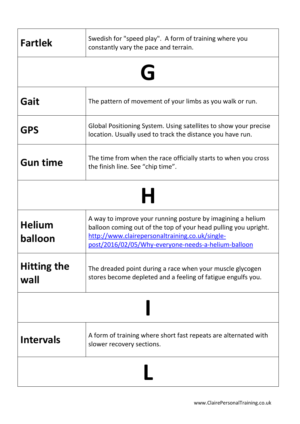| <b>Fartlek</b>             | Swedish for "speed play". A form of training where you<br>constantly vary the pace and terrain.                                                                                                                                          |
|----------------------------|------------------------------------------------------------------------------------------------------------------------------------------------------------------------------------------------------------------------------------------|
|                            | G                                                                                                                                                                                                                                        |
| Gait                       | The pattern of movement of your limbs as you walk or run.                                                                                                                                                                                |
| <b>GPS</b>                 | Global Positioning System. Using satellites to show your precise<br>location. Usually used to track the distance you have run.                                                                                                           |
| <b>Gun time</b>            | The time from when the race officially starts to when you cross<br>the finish line. See "chip time".                                                                                                                                     |
|                            |                                                                                                                                                                                                                                          |
| <b>Helium</b><br>balloon   | A way to improve your running posture by imagining a helium<br>balloon coming out of the top of your head pulling you upright.<br>http://www.clairepersonaltraining.co.uk/single-<br>post/2016/02/05/Why-everyone-needs-a-helium-balloon |
| <b>Hitting the</b><br>wall | The dreaded point during a race when your muscle glycogen<br>stores become depleted and a feeling of fatigue engulfs you.                                                                                                                |
|                            |                                                                                                                                                                                                                                          |
| <b>Intervals</b>           | A form of training where short fast repeats are alternated with<br>slower recovery sections.                                                                                                                                             |
|                            |                                                                                                                                                                                                                                          |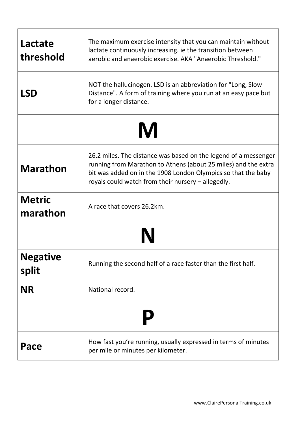| Lactate<br>threshold      | The maximum exercise intensity that you can maintain without<br>lactate continuously increasing. ie the transition between<br>aerobic and anaerobic exercise. AKA "Anaerobic Threshold."                                                                 |
|---------------------------|----------------------------------------------------------------------------------------------------------------------------------------------------------------------------------------------------------------------------------------------------------|
| <b>LSD</b>                | NOT the hallucinogen. LSD is an abbreviation for "Long, Slow<br>Distance". A form of training where you run at an easy pace but<br>for a longer distance.                                                                                                |
|                           |                                                                                                                                                                                                                                                          |
| <b>Marathon</b>           | 26.2 miles. The distance was based on the legend of a messenger<br>running from Marathon to Athens (about 25 miles) and the extra<br>bit was added on in the 1908 London Olympics so that the baby<br>royals could watch from their nursery - allegedly. |
| <b>Metric</b><br>marathon | A race that covers 26.2km.                                                                                                                                                                                                                               |
|                           |                                                                                                                                                                                                                                                          |
| <b>Negative</b><br>split  | Running the second half of a race faster than the first half.                                                                                                                                                                                            |
| <b>NR</b>                 | National record.                                                                                                                                                                                                                                         |
|                           |                                                                                                                                                                                                                                                          |
| Pace                      | How fast you're running, usually expressed in terms of minutes<br>per mile or minutes per kilometer.                                                                                                                                                     |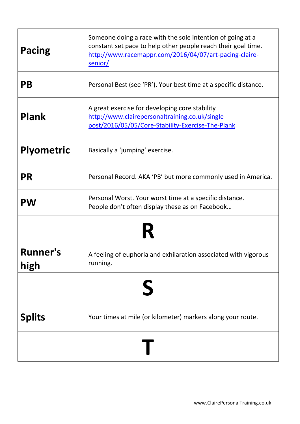| Pacing                  | Someone doing a race with the sole intention of going at a<br>constant set pace to help other people reach their goal time.<br>http://www.racemappr.com/2016/04/07/art-pacing-claire-<br>senior/ |
|-------------------------|--------------------------------------------------------------------------------------------------------------------------------------------------------------------------------------------------|
| <b>PB</b>               | Personal Best (see 'PR'). Your best time at a specific distance.                                                                                                                                 |
| <b>Plank</b>            | A great exercise for developing core stability<br>http://www.clairepersonaltraining.co.uk/single-<br>post/2016/05/05/Core-Stability-Exercise-The-Plank                                           |
| <b>Plyometric</b>       | Basically a 'jumping' exercise.                                                                                                                                                                  |
| <b>PR</b>               | Personal Record. AKA 'PB' but more commonly used in America.                                                                                                                                     |
| <b>PW</b>               | Personal Worst. Your worst time at a specific distance.<br>People don't often display these as on Facebook                                                                                       |
|                         |                                                                                                                                                                                                  |
| <b>Runner's</b><br>high | A feeling of euphoria and exhilaration associated with vigorous<br>running.                                                                                                                      |
|                         |                                                                                                                                                                                                  |
| <b>Splits</b>           | Your times at mile (or kilometer) markers along your route.                                                                                                                                      |
|                         |                                                                                                                                                                                                  |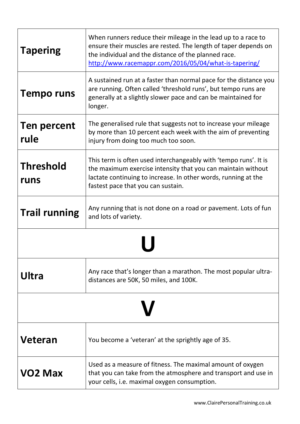| <b>Tapering</b>            | When runners reduce their mileage in the lead up to a race to<br>ensure their muscles are rested. The length of taper depends on<br>the individual and the distance of the planned race.<br>http://www.racemappr.com/2016/05/04/what-is-tapering/ |
|----------------------------|---------------------------------------------------------------------------------------------------------------------------------------------------------------------------------------------------------------------------------------------------|
| <b>Tempo runs</b>          | A sustained run at a faster than normal pace for the distance you<br>are running. Often called 'threshold runs', but tempo runs are<br>generally at a slightly slower pace and can be maintained for<br>longer.                                   |
| <b>Ten percent</b><br>rule | The generalised rule that suggests not to increase your mileage<br>by more than 10 percent each week with the aim of preventing<br>injury from doing too much too soon.                                                                           |
| <b>Threshold</b><br>runs   | This term is often used interchangeably with 'tempo runs'. It is<br>the maximum exercise intensity that you can maintain without<br>lactate continuing to increase. In other words, running at the<br>fastest pace that you can sustain.          |
| <b>Trail running</b>       | Any running that is not done on a road or pavement. Lots of fun<br>and lots of variety.                                                                                                                                                           |
|                            |                                                                                                                                                                                                                                                   |
| Ultra                      | Any race that's longer than a marathon. The most popular ultra-<br>distances are 50K, 50 miles, and 100K.                                                                                                                                         |
|                            |                                                                                                                                                                                                                                                   |
| Veteran                    | You become a 'veteran' at the sprightly age of 35.                                                                                                                                                                                                |
| <b>VO2 Max</b>             | Used as a measure of fitness. The maximal amount of oxygen<br>that you can take from the atmosphere and transport and use in<br>your cells, i.e. maximal oxygen consumption.                                                                      |